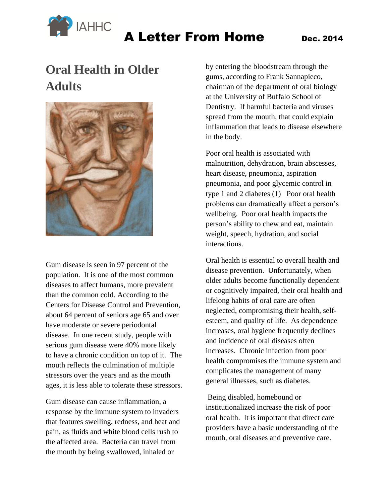

## **Oral Health in Older Adults**



Gum disease is seen in 97 percent of the population. It is one of the most common diseases to affect humans, more prevalent than the common cold. According to the Centers for Disease Control and Prevention, about 64 percent of seniors age 65 and over have moderate or severe periodontal disease. In one recent study, people with serious gum disease were 40% more likely to have a chronic condition on top of it. The mouth reflects the culmination of multiple stressors over the years and as the mouth ages, it is less able to tolerate these stressors.

Gum disease can cause inflammation, a response by the immune system to invaders that features swelling, redness, and heat and pain, as fluids and white blood cells rush to the affected area. Bacteria can travel from the mouth by being swallowed, inhaled or

by entering the bloodstream through the gums, according to Frank Sannapieco, chairman of the department of oral biology at the University of Buffalo School of Dentistry. If harmful bacteria and viruses spread from the mouth, that could explain inflammation that leads to disease elsewhere in the body.

Poor oral health is associated with malnutrition, dehydration, brain abscesses, heart disease, pneumonia, aspiration pneumonia, and poor glycemic control in type 1 and 2 diabetes (1) Poor oral health problems can dramatically affect a person's wellbeing. Poor oral health impacts the person's ability to chew and eat, maintain weight, speech, hydration, and social interactions.

Oral health is essential to overall health and disease prevention. Unfortunately, when older adults become functionally dependent or cognitively impaired, their oral health and lifelong habits of oral care are often neglected, compromising their health, selfesteem, and quality of life. As dependence increases, oral hygiene frequently declines and incidence of oral diseases often increases. Chronic infection from poor health compromises the immune system and complicates the management of many general illnesses, such as diabetes.

Being disabled, homebound or institutionalized increase the risk of poor oral health. It is important that direct care providers have a basic understanding of the mouth, oral diseases and preventive care.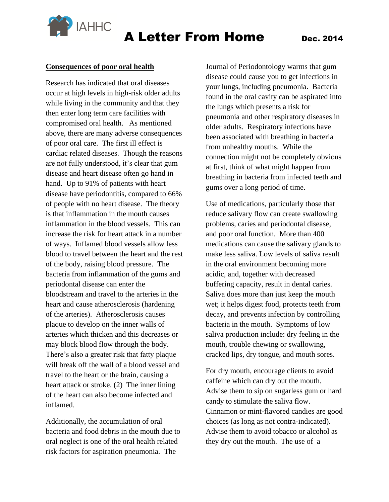

#### **Consequences of poor oral health**

Research has indicated that oral diseases occur at high levels in high-risk older adults while living in the community and that they then enter long term care facilities with compromised oral health. As mentioned above, there are many adverse consequences of poor oral care. The first ill effect is cardiac related diseases. Though the reasons are not fully understood, it's clear that gum disease and heart disease often go hand in hand. Up to 91% of patients with heart disease have periodontitis, compared to 66% of people with no heart disease. The theory is that inflammation in the mouth causes inflammation in the blood vessels. This can increase the risk for heart attack in a number of ways. Inflamed blood vessels allow less blood to travel between the heart and the rest of the body, raising blood pressure. The bacteria from inflammation of the gums and periodontal disease can enter the bloodstream and travel to the arteries in the heart and cause atherosclerosis (hardening of the arteries). Atherosclerosis causes plaque to develop on the inner walls of arteries which thicken and this decreases or may block blood flow through the body. There's also a greater risk that fatty plaque will break off the wall of a blood vessel and travel to the heart or the brain, causing a heart attack or stroke. (2) The inner lining of the heart can also become infected and inflamed.

Additionally, the accumulation of oral bacteria and food debris in the mouth due to oral neglect is one of the oral health related risk factors for aspiration pneumonia. The

Journal of Periodontology warms that gum disease could cause you to get infections in your lungs, including pneumonia. Bacteria found in the oral cavity can be aspirated into the lungs which presents a risk for pneumonia and other respiratory diseases in older adults. Respiratory infections have been associated with breathing in bacteria from unhealthy mouths. While the connection might not be completely obvious at first, think of what might happen from breathing in bacteria from infected teeth and gums over a long period of time.

Use of medications, particularly those that reduce salivary flow can create swallowing problems, caries and periodontal disease, and poor oral function. More than 400 medications can cause the salivary glands to make less saliva. Low levels of saliva result in the oral environment becoming more acidic, and, together with decreased buffering capacity, result in dental caries. Saliva does more than just keep the mouth wet; it helps digest food, protects teeth from decay, and prevents infection by controlling bacteria in the mouth. Symptoms of low saliva production include: dry feeling in the mouth, trouble chewing or swallowing, cracked lips, dry tongue, and mouth sores.

For dry mouth, encourage clients to avoid caffeine which can dry out the mouth. Advise them to sip on sugarless gum or hard candy to stimulate the saliva flow. Cinnamon or mint-flavored candies are good choices (as long as not contra-indicated). Advise them to avoid tobacco or alcohol as they dry out the mouth. The use of a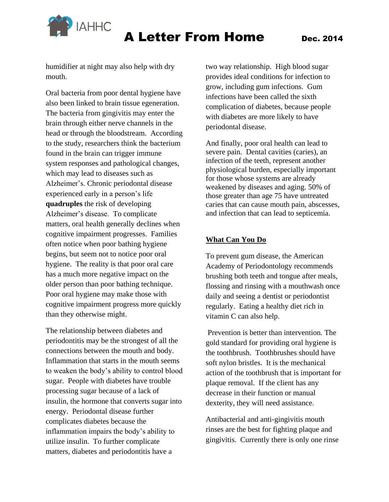

humidifier at night may also help with dry mouth.

Oral bacteria from poor dental hygiene have also been linked to brain tissue egeneration. The bacteria from gingivitis may enter the brain through either nerve channels in the head or through the bloodstream. According to the study, researchers think the bacterium found in the brain can trigger immune system responses and pathological changes, which may lead to diseases such as Alzheimer's. Chronic periodontal disease experienced early in a person's life **quadruples** the risk of developing Alzheimer's disease. To complicate matters, oral health generally declines when cognitive impairment progresses. Families often notice when poor bathing hygiene begins, but seem not to notice poor oral hygiene. The reality is that poor oral care has a much more negative impact on the older person than poor bathing technique. Poor oral hygiene may make those with cognitive impairment progress more quickly than they otherwise might.

The relationship between diabetes and periodontitis may be the strongest of all the connections between the mouth and body. Inflammation that starts in the mouth seems to weaken the body's ability to control blood sugar. People with diabetes have trouble processing sugar because of a lack of insulin, the hormone that converts sugar into energy. Periodontal disease further complicates diabetes because the inflammation impairs the body's ability to utilize insulin. To further complicate matters, diabetes and periodontitis have a

two way relationship. High blood sugar provides ideal conditions for infection to grow, including gum infections. Gum infections have been called the sixth complication of diabetes, because people with diabetes are more likely to have periodontal disease.

And finally, poor oral health can lead to severe pain. Dental cavities (caries), an infection of the teeth, represent another physiological burden, especially important for those whose systems are already weakened by diseases and aging. 50% of those greater than age 75 have untreated caries that can cause mouth pain, abscesses, and infection that can lead to septicemia.

#### **What Can You Do**

To prevent gum disease, the American Academy of Periodontology recommends brushing both teeth and tongue after meals, flossing and rinsing with a mouthwash once daily and seeing a dentist or periodontist regularly. Eating a healthy diet rich in vitamin C can also help.

Prevention is better than intervention. The gold standard for providing oral hygiene is the toothbrush. Toothbrushes should have soft nylon bristles. It is the mechanical action of the toothbrush that is important for plaque removal. If the client has any decrease in their function or manual dexterity, they will need assistance.

Antibacterial and anti-gingivitis mouth rinses are the best for fighting plaque and gingivitis. Currently there is only one rinse